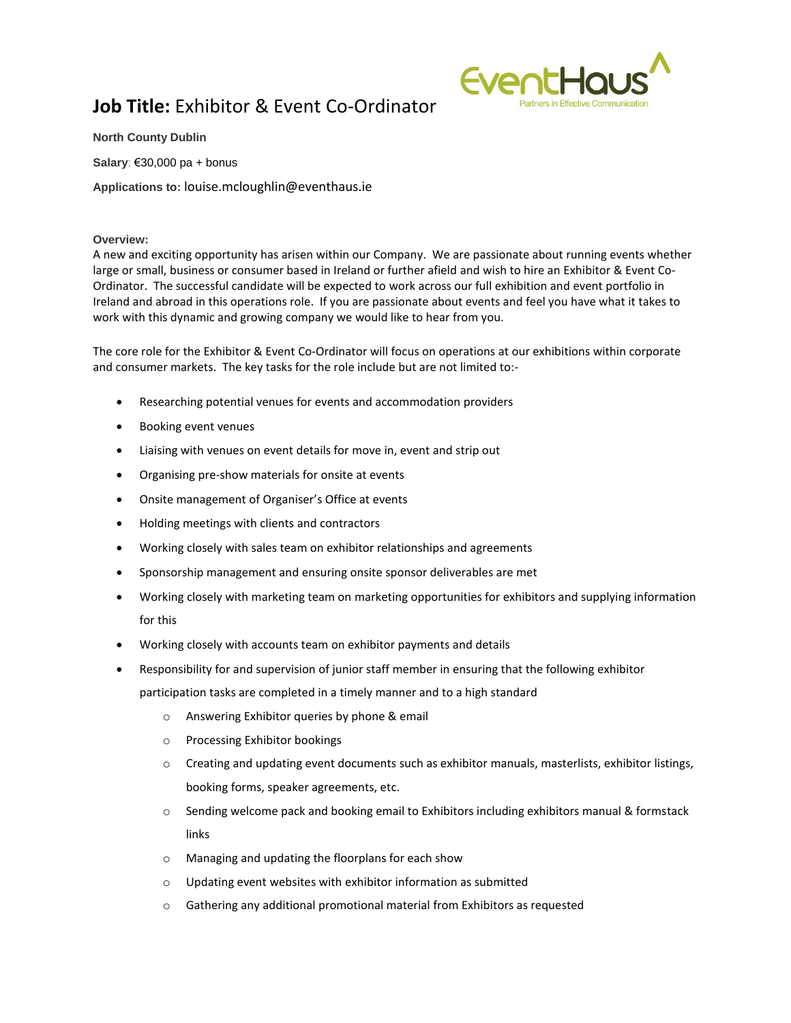## **Job Title:** Exhibitor & Event Co-Ordinator



**North County Dublin**

**Salary**: €30,000 pa + bonus

**Applications to:** louise.mcloughlin@eventhaus.ie

## **Overview:**

A new and exciting opportunity has arisen within our Company. We are passionate about running events whether large or small, business or consumer based in Ireland or further afield and wish to hire an Exhibitor & Event Co-Ordinator. The successful candidate will be expected to work across our full exhibition and event portfolio in Ireland and abroad in this operations role. If you are passionate about events and feel you have what it takes to work with this dynamic and growing company we would like to hear from you.

The core role for the Exhibitor & Event Co-Ordinator will focus on operations at our exhibitions within corporate and consumer markets. The key tasks for the role include but are not limited to:-

- Researching potential venues for events and accommodation providers
- Booking event venues
- Liaising with venues on event details for move in, event and strip out
- Organising pre-show materials for onsite at events
- Onsite management of Organiser's Office at events
- Holding meetings with clients and contractors
- Working closely with sales team on exhibitor relationships and agreements
- Sponsorship management and ensuring onsite sponsor deliverables are met
- Working closely with marketing team on marketing opportunities for exhibitors and supplying information for this
- Working closely with accounts team on exhibitor payments and details
- Responsibility for and supervision of junior staff member in ensuring that the following exhibitor

participation tasks are completed in a timely manner and to a high standard

- o Answering Exhibitor queries by phone & email
- o Processing Exhibitor bookings
- $\circ$  Creating and updating event documents such as exhibitor manuals, masterlists, exhibitor listings, booking forms, speaker agreements, etc.
- $\circ$  Sending welcome pack and booking email to Exhibitors including exhibitors manual & formstack links
- o Managing and updating the floorplans for each show
- o Updating event websites with exhibitor information as submitted
- o Gathering any additional promotional material from Exhibitors as requested